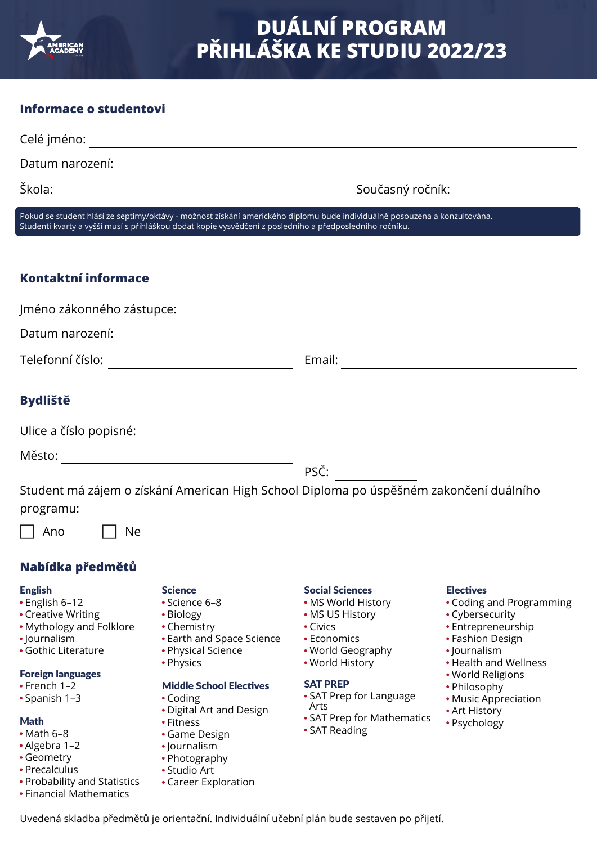

## **Informace o studentovi**

|                                                                                                                                                                                                                                      |                                                                                                                                                                                                                                     | Současný ročník: ______________________                                                                                                                                                                                                         |                                                                                                                                                                                                                                                  |
|--------------------------------------------------------------------------------------------------------------------------------------------------------------------------------------------------------------------------------------|-------------------------------------------------------------------------------------------------------------------------------------------------------------------------------------------------------------------------------------|-------------------------------------------------------------------------------------------------------------------------------------------------------------------------------------------------------------------------------------------------|--------------------------------------------------------------------------------------------------------------------------------------------------------------------------------------------------------------------------------------------------|
| Pokud se student hlásí ze septimy/oktávy - možnost získání amerického diplomu bude individuálně posouzena a konzultována.<br>Studenti kvarty a vyšší musí s přihláškou dodat kopie vysvědčení z posledního a předposledního ročníku. |                                                                                                                                                                                                                                     |                                                                                                                                                                                                                                                 |                                                                                                                                                                                                                                                  |
|                                                                                                                                                                                                                                      |                                                                                                                                                                                                                                     |                                                                                                                                                                                                                                                 |                                                                                                                                                                                                                                                  |
| Kontaktní informace                                                                                                                                                                                                                  |                                                                                                                                                                                                                                     |                                                                                                                                                                                                                                                 |                                                                                                                                                                                                                                                  |
|                                                                                                                                                                                                                                      |                                                                                                                                                                                                                                     |                                                                                                                                                                                                                                                 |                                                                                                                                                                                                                                                  |
| Datum narození: _________________________________                                                                                                                                                                                    |                                                                                                                                                                                                                                     |                                                                                                                                                                                                                                                 |                                                                                                                                                                                                                                                  |
| Telefonní číslo: _________________________________                                                                                                                                                                                   |                                                                                                                                                                                                                                     |                                                                                                                                                                                                                                                 |                                                                                                                                                                                                                                                  |
| <b>Bydliště</b>                                                                                                                                                                                                                      |                                                                                                                                                                                                                                     |                                                                                                                                                                                                                                                 |                                                                                                                                                                                                                                                  |
|                                                                                                                                                                                                                                      |                                                                                                                                                                                                                                     |                                                                                                                                                                                                                                                 |                                                                                                                                                                                                                                                  |
|                                                                                                                                                                                                                                      |                                                                                                                                                                                                                                     |                                                                                                                                                                                                                                                 |                                                                                                                                                                                                                                                  |
| $PS\check{C}$ :<br>Student má zájem o získání American High School Diploma po úspěšném zakončení duálního<br>programu:                                                                                                               |                                                                                                                                                                                                                                     |                                                                                                                                                                                                                                                 |                                                                                                                                                                                                                                                  |
| Ano<br>Ne                                                                                                                                                                                                                            |                                                                                                                                                                                                                                     |                                                                                                                                                                                                                                                 |                                                                                                                                                                                                                                                  |
| Nabídka předmětů                                                                                                                                                                                                                     |                                                                                                                                                                                                                                     |                                                                                                                                                                                                                                                 |                                                                                                                                                                                                                                                  |
| <b>English</b><br>• English 6-12<br>• Creative Writing<br>• Mythology and Folklore<br>· Journalism<br>• Gothic Literature<br><b>Foreign languages</b><br>$\cdot$ French 1-2<br>• Spanish 1-3<br><b>Math</b><br>$•$ Math 6-8          | <b>Science</b><br>• Science 6-8<br>• Biology<br>• Chemistry<br>• Earth and Space Science<br>• Physical Science<br>• Physics<br><b>Middle School Electives</b><br>• Coding<br>• Digital Art and Design<br>• Fitness<br>• Game Design | <b>Social Sciences</b><br>• MS World History<br>• MS US History<br>$\bullet$ Civics<br>• Economics<br>• World Geography<br>• World History<br><b>SAT PREP</b><br>• SAT Prep for Language<br>Arts<br>• SAT Prep for Mathematics<br>• SAT Reading | <b>Electives</b><br>• Coding and Programming<br>• Cybersecurity<br>• Entrepreneurship<br>• Fashion Design<br>• Journalism<br>• Health and Wellness<br>• World Religions<br>• Philosophy<br>• Music Appreciation<br>• Art History<br>• Psychology |

- Algebra 1–2
- Geometry
- Precalculus
- Probability and Statistics
- Financial Mathematics

Uvedená skladba předmětů je orientační. Individuální učební plán bude sestaven po přijetí.

Journalism • Photography Studio Art

Career Exploration